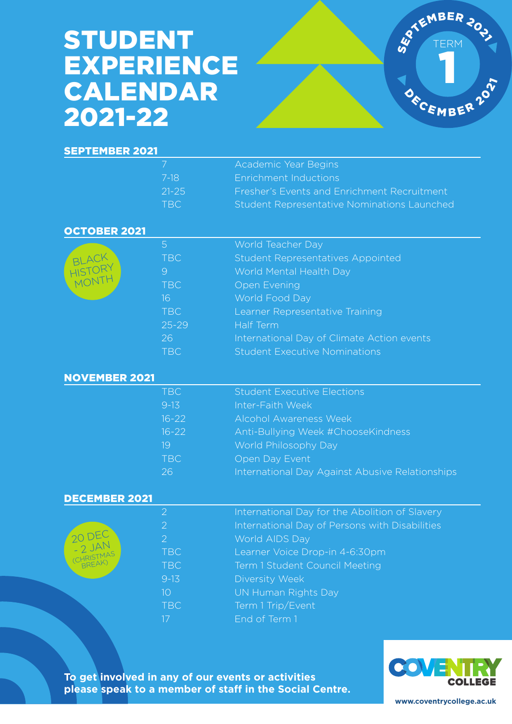# STUDENT EXPERIENCE CALENDAR 2021-22



### SEPTEMBER 2021

|            | <b>Academic Year Begins</b>                        |
|------------|----------------------------------------------------|
| - 7-18     | <b>Enrichment Inductions</b>                       |
| $21 - 25$  | Fresher's Events and Enrichment Recruitment        |
| <b>TRC</b> | <b>Student Representative Nominations Launched</b> |

#### OCTOBER 2021

|                           | Ь          | World Teacher Day                          |
|---------------------------|------------|--------------------------------------------|
|                           | <b>TBC</b> | <b>Student Representatives Appointed</b>   |
| BLACK<br>HISTORY<br>MONTY | 9          | World Mental Health Day                    |
|                           | <b>TBC</b> | <b>Open Evening</b>                        |
|                           | 16         | World Food Day                             |
|                           | TBC        | Learner Representative Training            |
|                           | $25 - 29$  | Half Term                                  |
|                           | 26         | International Day of Climate Action events |
|                           | <b>TBC</b> | <b>Student Executive Nominations</b>       |

#### NOVEMBER 2021

| TBC       | <b>Student Executive Elections</b>              |
|-----------|-------------------------------------------------|
| $9-13$    | Inter-Faith Week                                |
| $16 - 22$ | <b>Alcohol Awareness Week</b>                   |
| $16 - 22$ | Anti-Bullying Week #ChooseKindness              |
| 19        | World Philosophy Day                            |
| TBC       | Open Day Event                                  |
| 26        | International Day Against Abusive Relationships |

#### DECEMBER 2021

20 DEC - 2 JA<sup>N</sup> (CHRISTMAS

| 2              | International Day for the Abolition of Slavery |
|----------------|------------------------------------------------|
| 2              | International Day of Persons with Disabilities |
| 2              | World AIDS Day                                 |
| <b>TBC</b>     | Learner Voice Drop-in 4-6:30pm                 |
| <b>TBC</b>     | <b>Term 1 Student Council Meeting</b>          |
| $9 - 13$       | Diversity Week                                 |
| 1 <sub>O</sub> | UN Human Rights Day                            |
| <b>TBC</b>     | Term 1 Trip/Event                              |
| 17             | End of Term 1                                  |

**To get involved in any of our events or activities please speak to a member of staff in the Social Centre.**



**www.coventrycollege.ac.uk**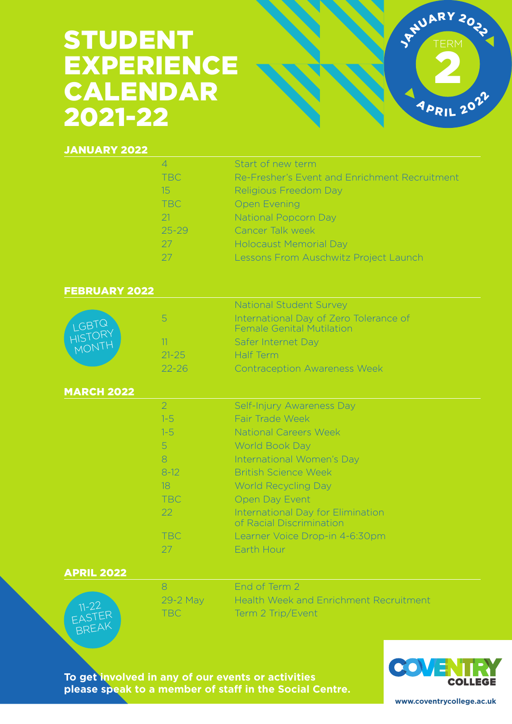# STUDENT EXPERIENCE CALENDAR 2021-22



## JANUARY 2022

|                              | $\overline{4}$<br><b>TBC</b><br>15<br><b>TBC</b><br>21<br>$25 - 29$<br>27                              | Start of new term<br>Re-Fresher's Event and Enrichment Recruitment<br><b>Religious Freedom Day</b><br><b>Open Evening</b><br><b>National Popcorn Day</b><br><b>Cancer Talk week</b><br><b>Holocaust Memorial Day</b>                                                                                                                      |
|------------------------------|--------------------------------------------------------------------------------------------------------|-------------------------------------------------------------------------------------------------------------------------------------------------------------------------------------------------------------------------------------------------------------------------------------------------------------------------------------------|
|                              | 27                                                                                                     | Lessons From Auschwitz Project Launch                                                                                                                                                                                                                                                                                                     |
| <b>FEBRUARY 2022</b>         |                                                                                                        |                                                                                                                                                                                                                                                                                                                                           |
| LGBTQ<br>HISTORY<br>MONTH    | 5<br>11<br>$21 - 25$                                                                                   | <b>National Student Survey</b><br>International Day of Zero Tolerance of<br><b>Female Genital Mutilation</b><br>Safer Internet Day<br><b>Half Term</b>                                                                                                                                                                                    |
|                              | $22 - 26$                                                                                              | <b>Contraception Awareness Week</b>                                                                                                                                                                                                                                                                                                       |
| <b>MARCH 2022</b>            |                                                                                                        |                                                                                                                                                                                                                                                                                                                                           |
| <b>APRIL 2022</b>            | $\overline{2}$<br>$1 - 5$<br>$1 - 5$<br>5<br>8<br>$8-12$<br>18<br><b>TBC</b><br>22<br><b>TBC</b><br>27 | Self-Injury Awareness Day<br>Fair Trade Week<br><b>National Careers Week</b><br><b>World Book Day</b><br>International Women's Day<br><b>British Science Week</b><br><b>World Recycling Day</b><br>Open Day Event<br><b>International Day for Elimination</b><br>of Racial Discrimination<br>Learner Voice Drop-in 4-6:30pm<br>Earth Hour |
| $11 - 22$<br>EASTER<br>BREAK | 8<br>29-2 May<br><b>TBC</b>                                                                            | End of Term 2<br><b>Health Week and Enrichment Recruitment</b><br>Term 2 Trip/Event                                                                                                                                                                                                                                                       |

**To get involved in any of our events or activities please speak to a member of staff in the Social Centre.**



**www.coventrycollege.ac.uk**